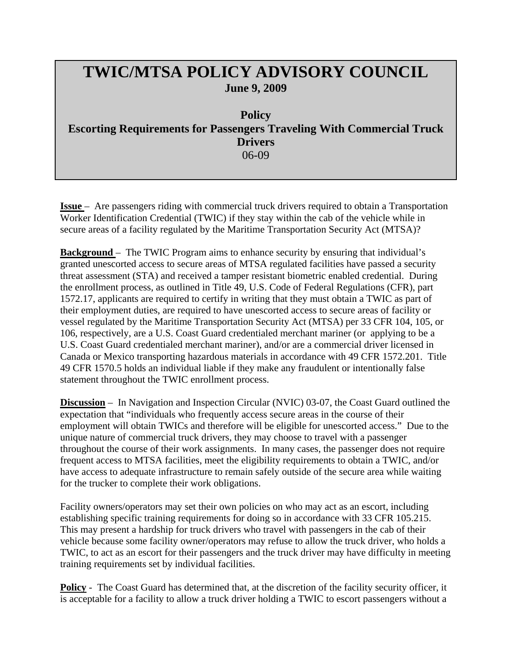## **TWIC/MTSA POLICY ADVISORY COUNCIL June 9, 2009**

**Policy Escorting Requirements for Passengers Traveling With Commercial Truck Drivers**  06-09

**Issue** – Are passengers riding with commercial truck drivers required to obtain a Transportation Worker Identification Credential (TWIC) if they stay within the cab of the vehicle while in secure areas of a facility regulated by the Maritime Transportation Security Act (MTSA)?

**Background** – The TWIC Program aims to enhance security by ensuring that individual's granted unescorted access to secure areas of MTSA regulated facilities have passed a security threat assessment (STA) and received a tamper resistant biometric enabled credential. During the enrollment process, as outlined in Title 49, U.S. Code of Federal Regulations (CFR), part 1572.17, applicants are required to certify in writing that they must obtain a TWIC as part of their employment duties, are required to have unescorted access to secure areas of facility or vessel regulated by the Maritime Transportation Security Act (MTSA) per 33 CFR 104, 105, or 106, respectively, are a U.S. Coast Guard credentialed merchant mariner (or applying to be a U.S. Coast Guard credentialed merchant mariner), and/or are a commercial driver licensed in Canada or Mexico transporting hazardous materials in accordance with 49 CFR 1572.201. Title 49 CFR 1570.5 holds an individual liable if they make any fraudulent or intentionally false statement throughout the TWIC enrollment process.

**Discussion** – In Navigation and Inspection Circular (NVIC) 03-07, the Coast Guard outlined the expectation that "individuals who frequently access secure areas in the course of their employment will obtain TWICs and therefore will be eligible for unescorted access." Due to the unique nature of commercial truck drivers, they may choose to travel with a passenger throughout the course of their work assignments. In many cases, the passenger does not require frequent access to MTSA facilities, meet the eligibility requirements to obtain a TWIC, and/or have access to adequate infrastructure to remain safely outside of the secure area while waiting for the trucker to complete their work obligations.

Facility owners/operators may set their own policies on who may act as an escort, including establishing specific training requirements for doing so in accordance with 33 CFR 105.215. This may present a hardship for truck drivers who travel with passengers in the cab of their vehicle because some facility owner/operators may refuse to allow the truck driver, who holds a TWIC, to act as an escort for their passengers and the truck driver may have difficulty in meeting training requirements set by individual facilities.

**Policy** - The Coast Guard has determined that, at the discretion of the facility security officer, it is acceptable for a facility to allow a truck driver holding a TWIC to escort passengers without a